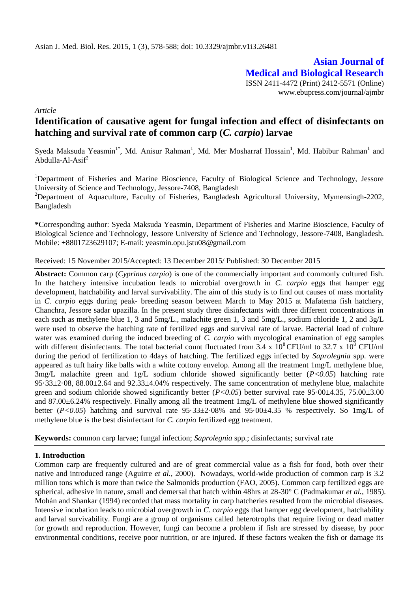**Asian Journal of Medical and Biological Research** ISSN 2411-4472 (Print) 2412-5571 (Online) www.ebupress.com/journal/ajmbr

*Article*

# **Identification of causative agent for fungal infection and effect of disinfectants on hatching and survival rate of common carp (***C. carpio***) larvae**

Syeda Maksuda Yeasmin<sup>1\*</sup>, Md. Anisur Rahman<sup>1</sup>, [Md. Mer Mosharraf Hossain](http://just.edu.bd/just/index.php?option=com_content&view=article&id=92&userid=mosha)<sup>1</sup>, Md. Habibur Rahman<sup>1</sup> and Abdulla-Al-Asi $f^2$ 

<sup>1</sup>Department of Fisheries and Marine Bioscience, Faculty of Biological Science and Technology, Jessore University of Science and Technology, Jessore-7408, Bangladesh <sup>2</sup>Department of Aquaculture, Faculty of Fisheries, Bangladesh Agricultural University, Mymensingh-2202, Bangladesh

**\***Corresponding author: Syeda Maksuda Yeasmin, Department of Fisheries and Marine Bioscience, Faculty of Biological Science and Technology, Jessore University of Science and Technology, Jessore-7408, Bangladesh. Mobile: +8801723629107; E-mail: yeasmin.opu.jstu08@gmail.com

Received: 15 November 2015/Accepted: 13 December 2015/ Published: 30 December 2015

**Abstract:** Common carp (*Cyprinus carpio*) is one of the commercially important and commonly cultured fish. In the hatchery intensive incubation leads to microbial overgrowth in *C. carpio* eggs that hamper egg development, hatchability and larval survivability. The aim of this study is to find out causes of mass mortality in *C. carpio* eggs during peak- breeding season between March to May 2015 at Mafatema fish hatchery, Chanchra, Jessore sadar upazilla. In the present study three disinfectants with three different concentrations in each such as methylene blue 1, 3 and 5mg/L., malachite green 1, 3 and 5mg/L., sodium chloride 1, 2 and 3g/L were used to observe the hatching rate of fertilized eggs and survival rate of larvae. Bacterial load of culture water was examined during the induced breeding of *C. carpio* with mycological examination of egg samples with different disinfectants. The total bacterial count fluctuated from 3.4 x  $10^8$  CFU/ml to 32.7 x  $10^8$  CFU/ml during the period of fertilization to 4days of hatching. The fertilized eggs infected by *Saprolegnia* spp. were appeared as tuft hairy like balls with a white cottony envelop. Among all the treatment 1mg/L methylene blue, 3mg/L malachite green and 1g/L sodium chloride showed significantly better (*P<0.05*) hatching rate  $95.33\pm2.08$ ,  $88.00\pm2.64$  and  $92.33\pm4.04\%$  respectively. The same concentration of methylene blue, malachite green and sodium chloride showed significantly better (*P<0.05*) better survival rate 95·00±4.35, 75.00±3.00 and 87.00±6.24% respectively. Finally among all the treatment 1mg/L of methylene blue showed significantly better (*P<0.05*) hatching and survival rate 95·33±2·08% and 95·00±4.35 % respectively. So 1mg/L of methylene blue is the best disinfectant for *C. carpio* fertilized egg treatment.

**Keywords:** common carp larvae; fungal infection; *Saprolegnia* spp.; disinfectants; survival rate

### **1. Introduction**

Common carp are frequently cultured and are of great commercial value as a fish for food, both over their native and introduced range (Aguirre *et al.,* 2000). Nowadays, world-wide production of common carp is 3.2 million tons which is more than twice the Salmonids production (FAO, 2005). Common carp fertilized eggs are spherical, adhesive in nature, small and demersal that hatch within 48hrs at 28-30° C (Padmakumar *et al.,* 1985). Mohán and Shankar (1994) recorded that mass mortality in carp hatcheries resulted from the microbial diseases. Intensive incubation leads to microbial overgrowth in *C. carpio* eggs that hamper egg development, hatchability and larval survivability. Fungi are a group of organisms called heterotrophs that require living or dead matter for growth and reproduction. However, fungi can become a problem if fish are stressed by disease, by poor environmental conditions, receive poor nutrition, or are injured. If these factors weaken the fish or damage its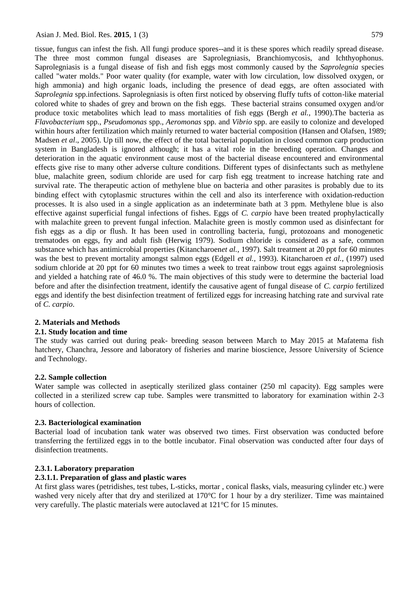tissue, fungus can infest the fish. All fungi produce spores--and it is these spores which readily spread disease. The three most common fungal diseases are Saprolegniasis, Branchiomycosis, and Ichthyophonus. Saprolegniasis is a fungal disease of fish and fish eggs most commonly caused by the *Saprolegnia* species called "water molds." Poor water quality (for example, water with low circulation, low dissolved oxygen, or high ammonia) and high organic loads, including the presence of dead eggs, are often associated with *Saprolegnia* spp.infections. Saprolegniasis is often first noticed by observing fluffy tufts of cotton-like material colored white to shades of grey and brown on the fish eggs. These bacterial strains consumed oxygen and/or produce toxic metabolites which lead to mass mortalities of fish eggs (Bergh *et al.,* 1990).The bacteria as *Flavobacterium* spp., *Pseudomonas* spp., *Aeromonas* spp. and *Vibrio* spp. are easily to colonize and developed within hours after fertilization which mainly returned to water bacterial composition (Hansen and Olafsen, 1989; Madsen *et al*., 2005). Up till now, the effect of the total bacterial population in closed common carp production system in Bangladesh is ignored although; it has a vital role in the breeding operation. Changes and deterioration in the aquatic environment cause most of the bacterial disease encountered and environmental effects give rise to many other adverse culture conditions. Different types of disinfectants such as methylene blue, malachite green, sodium chloride are used for carp fish egg treatment to increase hatching rate and survival rate. The therapeutic action of methylene blue on bacteria and other parasites is probably due to its binding effect with cytoplasmic structures within the cell and also its interference with oxidation-reduction processes. It is also used in a single application as an indeterminate bath at 3 ppm. Methylene blue is also effective against superficial fungal infections of fishes. Eggs of *C. carpio* have been treated prophylactically with malachite green to prevent fungal infection. Malachite green is mostly common used as disinfectant for fish eggs as a dip or flush. It has been used in controlling bacteria, fungi, protozoans and monogenetic trematodes on eggs, fry and adult fish (Herwig 1979). Sodium chloride is considered as a safe, common substance which has antimicrobial properties (Kitancharoen*et al.,* 1997). Salt treatment at 20 ppt for 60 minutes was the best to prevent mortality amongst salmon eggs (Edgell *et al.,* 1993). Kitancharoen *et al.,* (1997) used sodium chloride at 20 ppt for 60 minutes two times a week to treat rainbow trout eggs against saprolegniosis and yielded a hatching rate of 46.0 %. The main objectives of this study were to determine the bacterial load before and after the disinfection treatment, identify the causative agent of fungal disease of *C. carpio* fertilized eggs and identify the best disinfection treatment of fertilized eggs for increasing hatching rate and survival rate of *C. carpio*.

# **2. Materials and Methods**

### **2.1. Study location and time**

The study was carried out during peak- breeding season between March to May 2015 at Mafatema fish hatchery, Chanchra, Jessore and laboratory of fisheries and marine bioscience, Jessore University of Science and Technology.

### **2.2. Sample collection**

Water sample was collected in aseptically sterilized glass container (250 ml capacity). Egg samples were collected in a sterilized screw cap tube. Samples were transmitted to laboratory for examination within 2-3 hours of collection.

### **2.3. Bacteriological examination**

Bacterial load of incubation tank water was observed two times. First observation was conducted before transferring the fertilized eggs in to the bottle incubator. Final observation was conducted after four days of disinfection treatments.

### **2.3.1. Laboratory preparation**

### **2.3.1.1. Preparation of glass and plastic wares**

At first glass wares (petridishes, test tubes, L-sticks, mortar , conical flasks, vials, measuring cylinder etc.) were washed very nicely after that dry and sterilized at 170°C for 1 hour by a dry sterilizer. Time was maintained very carefully. The plastic materials were autoclaved at 121°C for 15 minutes.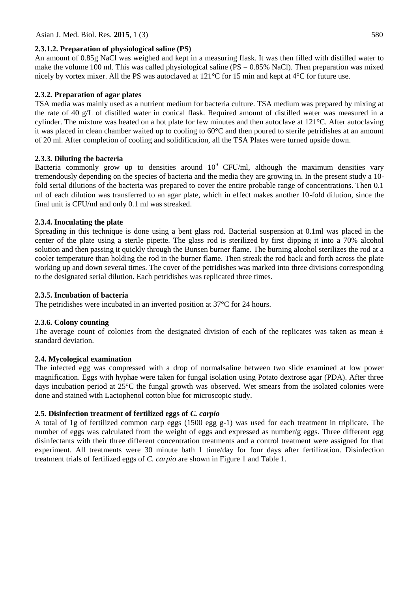### **2.3.1.2. Preparation of physiological saline (PS)**

An amount of 0.85g NaCl was weighed and kept in a measuring flask. It was then filled with distilled water to make the volume 100 ml. This was called physiological saline ( $PS = 0.85\%$  NaCl). Then preparation was mixed nicely by vortex mixer. All the PS was autoclaved at 121°C for 15 min and kept at 4°C for future use.

### **2.3.2. Preparation of agar plates**

TSA media was mainly used as a nutrient medium for bacteria culture. TSA medium was prepared by mixing at the rate of 40 g/L of distilled water in conical flask. Required amount of distilled water was measured in a cylinder. The mixture was heated on a hot plate for few minutes and then autoclave at 121°C. After autoclaving it was placed in clean chamber waited up to cooling to 60°C and then poured to sterile petridishes at an amount of 20 ml. After completion of cooling and solidification, all the TSA Plates were turned upside down.

### **2.3.3. Diluting the bacteria**

Bacteria commonly grow up to densities around  $10^9$  CFU/ml, although the maximum densities vary tremendously depending on the species of bacteria and the media they are growing in. In the present study a 10 fold serial dilutions of the bacteria was prepared to cover the entire probable range of concentrations. Then 0.1 ml of each dilution was transferred to an agar plate, which in effect makes another 10-fold dilution, since the final unit is CFU/ml and only 0.1 ml was streaked.

### **2.3.4. Inoculating the plate**

Spreading in this technique is done using a bent glass rod. Bacterial suspension at 0.1ml was placed in the center of the plate using a sterile pipette. The glass rod is sterilized by first dipping it into a 70% alcohol solution and then passing it quickly through the Bunsen burner flame. The burning alcohol sterilizes the rod at a cooler temperature than holding the rod in the burner flame. Then streak the rod back and forth across the plate working up and down several times. The cover of the petridishes was marked into three divisions corresponding to the designated serial dilution. Each petridishes was replicated three times.

### **2.3.5. Incubation of bacteria**

The petridishes were incubated in an inverted position at 37°C for 24 hours.

### **2.3.6. Colony counting**

The average count of colonies from the designated division of each of the replicates was taken as mean  $\pm$ standard deviation.

### **2.4. Mycological examination**

The infected egg was compressed with a drop of normalsaline between two slide examined at low power magnification. Eggs with hyphae were taken for fungal isolation using Potato dextrose agar (PDA). After three days incubation period at 25°C the fungal growth was observed. Wet smears from the isolated colonies were done and stained with Lactophenol cotton blue for microscopic study.

### **2.5. Disinfection treatment of fertilized eggs of** *C. carpio*

A total of 1g of fertilized common carp eggs (1500 egg g-1) was used for each treatment in triplicate. The number of eggs was calculated from the weight of eggs and expressed as number/g eggs. Three different egg disinfectants with their three different concentration treatments and a control treatment were assigned for that experiment. All treatments were 30 minute bath 1 time/day for four days after fertilization. Disinfection treatment trials of fertilized eggs of *C. carpio* are shown in Figure 1 and Table 1.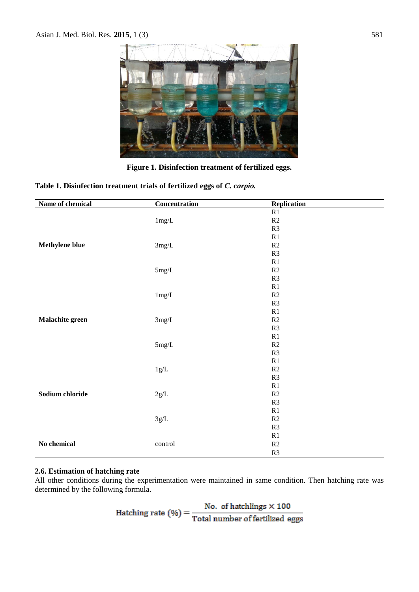

**Figure 1. Disinfection treatment of fertilized eggs.**

**Table 1. Disinfection treatment trials of fertilized eggs of** *C. carpio.*

| Name of chemical | Concentration    | Replication   |
|------------------|------------------|---------------|
|                  | $1mg/L$          | R1            |
|                  |                  | $\mathbb{R}2$ |
|                  |                  | R3            |
|                  | $3 \text{mg/L}$  | R1            |
| Methylene blue   |                  | $\mathbb{R}2$ |
|                  |                  | R3            |
|                  | $5\mathrm{mg/L}$ | $\mathbb{R}1$ |
|                  |                  | $\mathbb{R}2$ |
|                  |                  | R3            |
|                  | $1 \text{mg/L}$  | R1            |
|                  |                  | $\mathbb{R}2$ |
|                  |                  | R3            |
|                  | $3 \text{mg/L}$  | $\mathbb{R}1$ |
| Malachite green  |                  | R2            |
|                  |                  | R3            |
|                  | $5\mathrm{mg/L}$ | R1            |
|                  |                  | R2            |
|                  |                  | R3            |
|                  |                  | R1            |
|                  | $1g/L$           | R2            |
|                  |                  | R3            |
|                  | $2g/L$           | R1            |
| Sodium chloride  |                  | R2            |
|                  |                  | R3            |
|                  | $3g/L$           | R1            |
|                  |                  | $\mathbb{R}2$ |
|                  |                  | R3            |
|                  |                  | $\mathbb{R}1$ |
| No chemical      | control          | R2            |
|                  |                  | R3            |

### **2.6. Estimation of hatching rate**

All other conditions during the experimentation were maintained in same condition. Then hatching rate was determined by the following formula.

Hatching rate (%) =  $\frac{No. \text{ of hatchlings} \times 100}{Total \text{ number of fertilized eggs}}$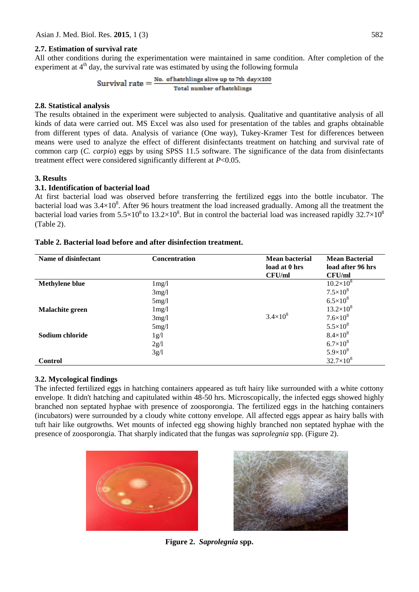# **2.7. Estimation of survival rate**

All other conditions during the experimentation were maintained in same condition. After completion of the experiment at  $4<sup>th</sup>$  day, the survival rate was estimated by using the following formula

Survival rate =  $\frac{\text{No. of hatchlings alive up to 7th day} \times 100}{\text{Total number of hatchlings}}$ 

# **2.8. Statistical analysis**

The results obtained in the experiment were subjected to analysis. Qualitative and quantitative analysis of all kinds of data were carried out. MS Excel was also used for presentation of the tables and graphs obtainable from different types of data. Analysis of variance (One way), Tukey-Kramer Test for differences between means were used to analyze the effect of different disinfectants treatment on hatching and survival rate of common carp (*C. carpio*) eggs by using SPSS 11.5 software. The significance of the data from disinfectants treatment effect were considered significantly different at *P*<0.05.

# **3. Results**

# **3.1. Identification of bacterial load**

At first bacterial load was observed before transferring the fertilized eggs into the bottle incubator. The bacterial load was  $3.4\times10^8$ . After 96 hours treatment the load increased gradually. Among all the treatment the bacterial load varies from  $5.5\times10^8$  to  $13.2\times10^8$ . But in control the bacterial load was increased rapidly 32.7×10<sup>8</sup> (Table 2).

| Name of disinfectant  | <b>Concentration</b> | <b>Mean bacterial</b><br>load at 0 hrs | <b>Mean Bacterial</b><br>load after 96 hrs |
|-----------------------|----------------------|----------------------------------------|--------------------------------------------|
|                       |                      | CFU/ml                                 | CFU/ml                                     |
| <b>Methylene blue</b> | 1mg/1                |                                        | $10.2\times10^{8}$                         |
|                       | 3mg/1                |                                        | $7.5 \times 10^8$                          |
|                       | 5mg/1                |                                        | $6.5 \times 10^{8}$                        |
| Malachite green       | $1 \text{mg}/1$      |                                        | $13.2\times10^{8}$                         |
|                       | 3mg/1                | $3.4 \times 10^8$                      | $7.6 \times 10^8$                          |
|                       | 5mg/1                |                                        | $5.5 \times 10^8$                          |
| Sodium chloride       | 1g/l                 |                                        | $8.4 \times 10^{8}$                        |
|                       | 2g/l                 |                                        | $6.7\times10^{8}$                          |
|                       | 3g/l                 |                                        | $5.9 \times 10^8$                          |
| Control               |                      |                                        | $32.7\times10^{8}$                         |

### **Table 2. Bacterial load before and after disinfection treatment.**

# **3.2. Mycological findings**

The infected fertilized eggs in hatching containers appeared as tuft hairy like surrounded with a white cottony envelope. It didn't hatching and capitulated within 48-50 hrs. Microscopically, the infected eggs showed highly branched non septated hyphae with presence of zoosporongia. The fertilized eggs in the hatching containers (incubators) were surrounded by a cloudy white cottony envelope. All affected eggs appear as hairy balls with tuft hair like outgrowths. Wet mounts of infected egg showing highly branched non septated hyphae with the presence of zoosporongia. That sharply indicated that the fungas was *saprolegnia* spp. (Figure 2).





**Figure 2.** *Saprolegnia* **spp.**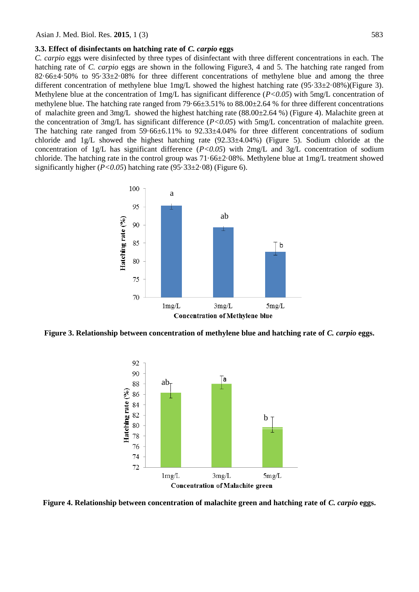#### **3.3. Effect of disinfectants on hatching rate of** *C. carpio* **eggs**

*C. carpio* eggs were disinfected by three types of disinfectant with three different concentrations in each. The hatching rate of *C. carpio* eggs are shown in the following Figure3, 4 and 5. The hatching rate ranged from 82·66±4·50% to 95·33±2·08% for three different concentrations of methylene blue and among the three different concentration of methylene blue 1mg/L showed the highest hatching rate (95·33±2·08%)(Figure 3). Methylene blue at the concentration of 1mg/L has significant difference (*P<0.05*) with 5mg/L concentration of methylene blue. The hatching rate ranged from 79·66±3.51% to 88.00±2.64 % for three different concentrations of malachite green and 3mg/L showed the highest hatching rate  $(88.00\pm 2.64\%)$  (Figure 4). Malachite green at the concentration of 3mg/L has significant difference  $(P<0.05)$  with 5mg/L concentration of malachite green. The hatching rate ranged from 59.66±6.11% to 92.33±4.04% for three different concentrations of sodium chloride and  $1g/L$  showed the highest hatching rate (92.33 $\pm$ 4.04%) (Figure 5). Sodium chloride at the concentration of 1g/L has significant difference (*P<0.05*) with 2mg/L and 3g/L concentration of sodium chloride. The hatching rate in the control group was 71·66±2·08%. Methylene blue at 1mg/L treatment showed significantly higher  $(P<0.05)$  hatching rate  $(95.33\pm2.08)$  (Figure 6).



**Figure 3. Relationship between concentration of methylene blue and hatching rate of** *C. carpio* **eggs.**



**Figure 4. Relationship between concentration of malachite green and hatching rate of** *C. carpio* **eggs.**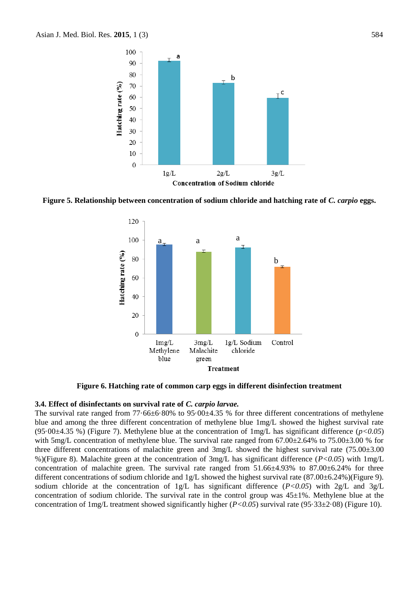

**Figure 5. Relationship between concentration of sodium chloride and hatching rate of** *C. carpio* **eggs.**



**Figure 6. Hatching rate of common carp eggs in different disinfection treatment**

#### **3.4. Effect of disinfectants on survival rate of** *C. carpio larvae.*

The survival rate ranged from  $77.66\pm6.80\%$  to  $95.00\pm4.35$  % for three different concentrations of methylene blue and among the three different concentration of methylene blue 1mg/L showed the highest survival rate (95·00±4.35 %) (Figure 7). Methylene blue at the concentration of 1mg/L has significant difference (*p<0.05*) with 5mg/L concentration of methylene blue. The survival rate ranged from 67.00±2.64% to 75.00±3.00 % for three different concentrations of malachite green and 3mg/L showed the highest survival rate (75.00±3.00 %)(Figure 8). Malachite green at the concentration of 3mg/L has significant difference (*P<0.05*) with 1mg/L concentration of malachite green. The survival rate ranged from  $51.66\pm4.93\%$  to  $87.00\pm6.24\%$  for three different concentrations of sodium chloride and 1g/L showed the highest survival rate (87.00±6.24%)(Figure 9). sodium chloride at the concentration of 1g/L has significant difference (*P<0.05*) with 2g/L and 3g/L concentration of sodium chloride. The survival rate in the control group was  $45\pm1\%$ . Methylene blue at the concentration of 1mg/L treatment showed significantly higher (*P<0.05*) survival rate (95·33±2·08) (Figure 10).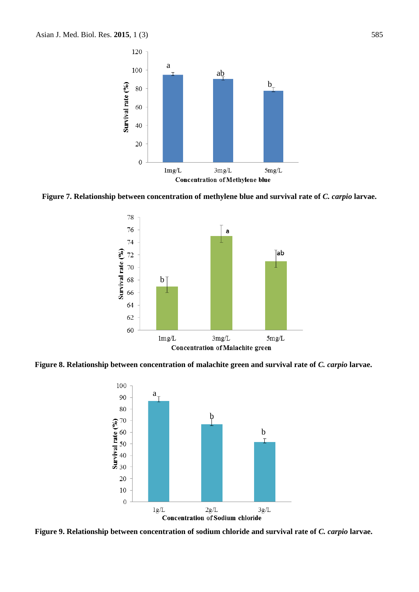

**Figure 7. Relationship between concentration of methylene blue and survival rate of** *C. carpio* **larvae.**



**Figure 8. Relationship between concentration of malachite green and survival rate of** *C. carpio* **larvae.**



**Figure 9. Relationship between concentration of sodium chloride and survival rate of** *C. carpio* **larvae.**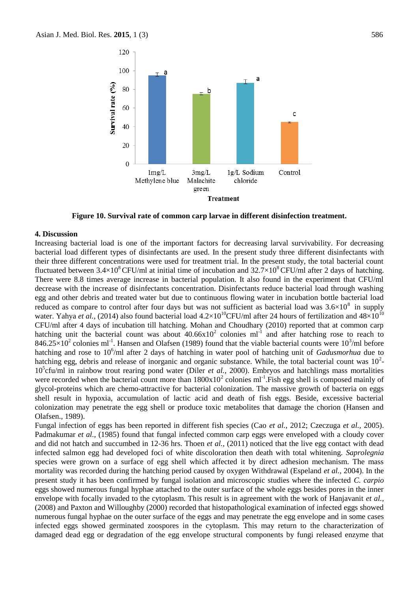

**Figure 10. Survival rate of common carp larvae in different disinfection treatment.**

### **4. Discussion**

Increasing bacterial load is one of the important factors for decreasing larval survivability. For decreasing bacterial load different types of disinfectants are used. In the present study three different disinfectants with their three different concentrations were used for treatment trial. In the present study, the total bacterial count fluctuated between  $3.4\times10^8$  CFU/ml at initial time of incubation and  $32.7\times10^8$  CFU/ml after 2 days of hatching. There were 8.8 times average increase in bacterial population. It also found in the experiment that CFU/ml decrease with the increase of disinfectants concentration. Disinfectants reduce bacterial load through washing egg and other debris and treated water but due to continuous flowing water in incubation bottle bacterial load reduced as compare to control after four days but was not sufficient as bacterial load was  $3.6\times10^8$  in supply water. Yahya *et al.*, (2014) also found bacterial load  $4.2 \times 10^{10}$ CFU/ml after 24 hours of fertilization and  $48 \times 10^{10}$ CFU/ml after 4 days of incubation till hatching. Mohan and Choudhary (2010) reported that at common carp hatching unit the bacterial count was about  $40.66 \times 10^2$  colonies ml<sup>-1</sup> and after hatching rose to reach to  $846.25\times10^2$  colonies ml<sup>-1</sup>. Hansen and Olafsen (1989) found that the viable bacterial counts were  $10^3$ /ml before hatching and rose to 10<sup>6</sup> /ml after 2 days of hatching in water pool of hatching unit of *Gadusmorhua* due to hatching egg, debris and release of inorganic and organic substance. While, the total bacterial count was  $10<sup>2</sup>$ -10<sup>5</sup>cfu/ml in rainbow trout rearing pond water (Diler *et al.*, 2000). Embryos and hatchlings mass mortalities were recorded when the bacterial count more than  $1800 \times 10^2$  colonies ml<sup>-1</sup>. Fish egg shell is composed mainly of glycol-proteins which are chemo-attractive for bacterial colonization. The massive growth of bacteria on eggs shell result in hypoxia, accumulation of lactic acid and death of fish eggs. Beside, excessive bacterial colonization may penetrate the egg shell or produce toxic metabolites that damage the chorion (Hansen and Olafsen., 1989).

Fungal infection of eggs has been reported in different fish species (Cao *et al.,* 2012; Czeczuga *et al.,* 2005). Padmakumar *et al.,* (1985) found that fungal infected common carp eggs were enveloped with a cloudy cover and did not hatch and succumbed in 12-36 hrs. Thoen *et al.,* (2011) noticed that the live egg contact with dead infected salmon egg had developed foci of white discoloration then death with total whitening. *Saprolegnia* species were grown on a surface of egg shell which affected it by direct adhesion mechanism. The mass mortality was recorded during the hatching period caused by oxygen Withdrawal (Espeland *et al.,* 2004). In the present study it has been confirmed by fungal isolation and microscopic studies where the infected *C. carpio*  eggs showed numerous fungal hyphae attached to the outer surface of the whole eggs besides pores in the inner envelope with focally invaded to the cytoplasm. This result is in agreement with the work of Hanjavanit *et al.,* (2008) and Paxton and Willoughby (2000) recorded that histopathological examination of infected eggs showed numerous fungal hyphae on the outer surface of the eggs and may penetrate the egg envelope and in some cases infected eggs showed germinated zoospores in the cytoplasm. This may return to the characterization of damaged dead egg or degradation of the egg envelope structural components by fungi released enzyme that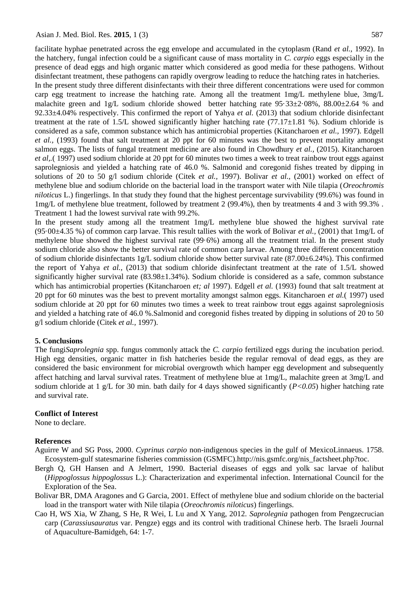facilitate hyphae penetrated across the egg envelope and accumulated in the cytoplasm (Rand *et al.,* 1992). In the hatchery, fungal infection could be a significant cause of mass mortality in *C. carpio* eggs especially in the presence of dead eggs and high organic matter which considered as good media for these pathogens. Without disinfectant treatment, these pathogens can rapidly overgrow leading to reduce the hatching rates in hatcheries.

In the present study three different disinfectants with their three different concentrations were used for common carp egg treatment to increase the hatching rate. Among all the treatment 1mg/L methylene blue, 3mg/L malachite green and 1g/L sodium chloride showed better hatching rate  $95.33\pm2.08\%$ ,  $88.00\pm2.64$  % and 92.33±4.04% respectively. This confirmed the report of Yahya *et al.* (2013) that sodium chloride disinfectant treatment at the rate of 1.5/L showed significantly higher hatching rate  $(77.17\pm1.81\%)$ . Sodium chloride is considered as a safe, common substance which has antimicrobial properties (Kitancharoen *et al.,* 1997). Edgell *et al.,* (1993) found that salt treatment at 20 ppt for 60 minutes was the best to prevent mortality amongst salmon eggs. The lists of fungal treatment medicine are also found in Chowdhury *et al.,* (2015). Kitancharoen *et al,.*( 1997) used sodium chloride at 20 ppt for 60 minutes two times a week to treat rainbow trout eggs against saprolegniosis and yielded a hatching rate of 46.0 %. Salmonid and coregonid fishes treated by dipping in solutions of 20 to 50 g/l sodium chloride (Citek *et al.,* 1997). Bolivar *et al.,* (2001) worked on effect of methylene blue and sodium chloride on the bacterial load in the transport water with Nile tilapia (*Oreochromis niloticus* L.) fingerlings. In that study they found that the highest percentage survivability (99.6%) was found in 1mg/L of methylene blue treatment, followed by treatment 2 (99.4%), then by treatments 4 and 3 with 99.3% . Treatment 1 had the lowest survival rate with 99.2%.

In the present study among all the treatment 1mg/L methylene blue showed the highest survival rate (95·00±4.35 %) of common carp larvae. This result tallies with the work of Bolivar *et al.,* (2001) that 1mg/L of methylene blue showed the highest survival rate (99·6%) among all the treatment trial. In the present study sodium chloride also show the better survival rate of common carp larvae. Among three different concentration of sodium chloride disinfectants 1g/L sodium chloride show better survival rate (87.00±6.24%). This confirmed the report of Yahya *et al.,* (2013) that sodium chloride disinfectant treatment at the rate of 1.5/L showed significantly higher survival rate (83.98±1.34%). Sodium chloride is considered as a safe, common substance which has antimicrobial properties (Kitancharoen *et; al* 1997). Edgell *et al.* (1993) found that salt treatment at 20 ppt for 60 minutes was the best to prevent mortality amongst salmon eggs. Kitancharoen *et al.*( 1997) used sodium chloride at 20 ppt for 60 minutes two times a week to treat rainbow trout eggs against saprolegniosis and yielded a hatching rate of 46.0 %.Salmonid and coregonid fishes treated by dipping in solutions of 20 to 50 g/l sodium chloride (Citek *et al.,* 1997).

#### **5. Conclusions**

The fungi*Saprolegnia* spp. fungus commonly attack the *C. carpio* fertilized eggs during the incubation period. High egg densities, organic matter in fish hatcheries beside the regular removal of dead eggs, as they are considered the basic environment for microbial overgrowth which hamper egg development and subsequently affect hatching and larval survival rates. Treatment of methylene blue at 1mg/L, malachite green at 3mg/L and sodium chloride at 1 g/L for 30 min. bath daily for 4 days showed significantly (*P<0.05*) higher hatching rate and survival rate.

### **Conflict of Interest**

None to declare.

### **References**

- Aguirre W and SG Poss, 2000. *Cyprinus carpio* non-indigenous species in the gulf of MexicoLinnaeus. 1758. Ecosystem-gulf statesmarine fisheries commission (GSMFC).http://nis.gsmfc.org/nis\_factsheet.php?toc.
- Bergh Q, GH Hansen and A Jelmert, 1990. Bacterial diseases of eggs and yolk sac larvae of halibut (*Hippoglossus hippoglossus* L.): Characterization and experimental infection. International Council for the Exploration of the Sea.
- Bolivar BR, DMA Aragones and G Garcia, 2001. Effect of methylene blue and sodium chloride on the bacterial load in the transport water with Nile tilapia (*Oreochromis niloticus*) fingerlings.
- Cao H, WS Xia, W Zhang, S He, R Wei, L Lu and X Yang, 2012. *Saprolegnia* pathogen from Pengzecrucian carp (*Carassiusauratus* var. Pengze) eggs and its control with traditional Chinese herb. The Israeli Journal of Aquaculture-Bamidgeh, 64: 1-7.